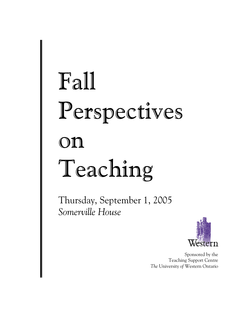# Fall Perspectives on Teaching

Thursday, September 1, 2005 *Somerville House*



Sponsored by the Teaching Support Centre *The* University *of* Western Ontario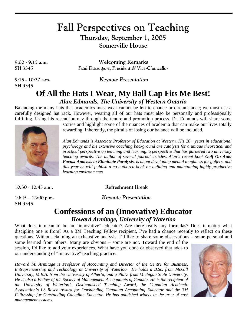# Fall Perspectives on Teaching

֖֚֚֬֕

# Thursday, September 1, 2005

**Somerville House** 

**9:00 - 9:15 a.m. Welcoming Remarks SH 3345** *Paul Davenport, President & Vice-Chancellor*

**SH 3345**

**9:15 - 10:30 a.m.** *Keynote Presentation*

# **Of All the Hats I Wear, My Ball Cap Fits Me Best!** *Alan Edmunds, The University of Western Ontario*

Balancing the many hats that academics must wear cannot be left to chance or circumstance; we must use a carefully designed hat rack. However, wearing all of our hats must also be personally and professionally fulfilling. Using his recent journey through the tenure and promotion process, Dr. Edmunds will share some

stories and highlight some of the nuances of academia that can make our lives totally rewarding. Inherently, the pitfalls of losing our balance will be included.



*Alan Edmunds is Associate Professor of Education at Western. His 20+ years in educational psychology and his extensive coaching background are catalysts for a unique theoretical and practical perspective on teaching and learning, a perspective that has garnered two university teaching awards. The author of several journal articles, Alan's recent book Golf On Auto Focus: Analysis to Eliminate Paralysis, is about developing mental toughness for golfers, and this year he will publish a co-authored book on building and maintaining highly productive learning environments.*

**10:30 - 10:45 a.m. Refreshment Break**

**SH 3345**

**10:45 – 12:00 p.m.** *Keynote Presentation*

# **Confessions of an (Innovative) Educator** *Howard Armitage, University of Waterloo*

What does it mean to be an "innovative" educator? Are there really any formulas? Does it matter what discipline one is from? As a 3M Teaching Fellow recipient, I've had a chance recently to reflect on these questions. Without claiming an exhaustive analysis, I'd like to share some observations – some personal and

some learned from others. Many are obvious – some are not. Toward the end of the session, I'd like to add your experiences. What have you done or observed that adds to our understanding of "innovative" teaching practice.

*Howard M. Armitage is Professor of Accounting and Director of the Centre for Business, Entrepreneurship and Technology at University of Waterloo. He holds a B.Sc. from McGill University, M.B.A. from the University of Alberta, and a Ph.D. from Michigan State University. He is also a Fellow of the Society of Management Accountants of Canada. He is the recipient of the University of Waterloo's Distinguished Teaching Award, the Canadian Academic Association's LS Rosen Award for Outstanding Canadian Accounting Educator and the 3M Fellowship for Outstanding Canadian Educator. He has published widely in the area of cost management systems.*